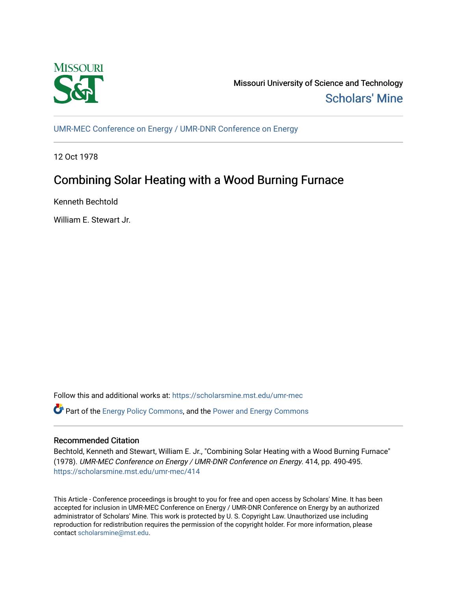

Missouri University of Science and Technology [Scholars' Mine](https://scholarsmine.mst.edu/) 

[UMR-MEC Conference on Energy / UMR-DNR Conference on Energy](https://scholarsmine.mst.edu/umr-mec)

12 Oct 1978

## Combining Solar Heating with a Wood Burning Furnace

Kenneth Bechtold

William E. Stewart Jr.

Follow this and additional works at: [https://scholarsmine.mst.edu/umr-mec](https://scholarsmine.mst.edu/umr-mec?utm_source=scholarsmine.mst.edu%2Fumr-mec%2F414&utm_medium=PDF&utm_campaign=PDFCoverPages)   $\bullet$  Part of the [Energy Policy Commons](http://network.bepress.com/hgg/discipline/1065?utm_source=scholarsmine.mst.edu%2Fumr-mec%2F414&utm_medium=PDF&utm_campaign=PDFCoverPages), and the Power and Energy Commons

## Recommended Citation

Bechtold, Kenneth and Stewart, William E. Jr., "Combining Solar Heating with a Wood Burning Furnace" (1978). UMR-MEC Conference on Energy / UMR-DNR Conference on Energy. 414, pp. 490-495. [https://scholarsmine.mst.edu/umr-mec/414](https://scholarsmine.mst.edu/umr-mec/414?utm_source=scholarsmine.mst.edu%2Fumr-mec%2F414&utm_medium=PDF&utm_campaign=PDFCoverPages) 

This Article - Conference proceedings is brought to you for free and open access by Scholars' Mine. It has been accepted for inclusion in UMR-MEC Conference on Energy / UMR-DNR Conference on Energy by an authorized administrator of Scholars' Mine. This work is protected by U. S. Copyright Law. Unauthorized use including reproduction for redistribution requires the permission of the copyright holder. For more information, please contact [scholarsmine@mst.edu](mailto:scholarsmine@mst.edu).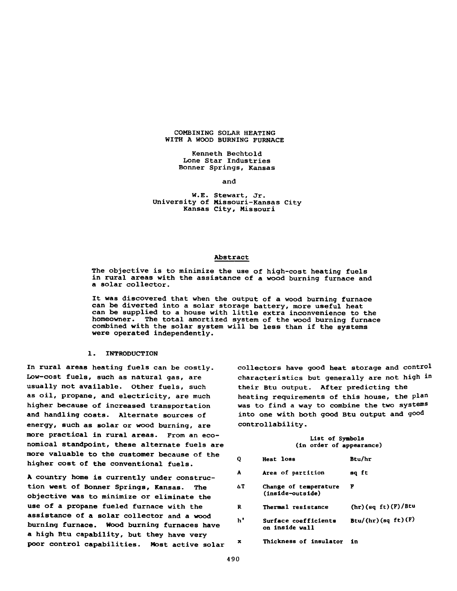## **COMBINING SOLAR HEATING WITH A WOOD BURNING FURNACE**

**Kenneth Bechtold Lone Star Industries Bonner Springs, Kansas**

**and**

## **W.E. Stewart, Jr. University of Missouri-Kansas City Kansas City, Missouri**

## **Abstract**

**The objective is to minimize the use of high-cost heating fuels in rural areas with the assistance of a wood burning furnace and a solar collector.**

**It was discovered that when the output of a wood burning furnace can be diverted into a solar storage battery, more useful heat can be supplied to a house with little extra inconvenience to the homeowner. The total amortized system of the wood burning furnace combined with the solar system will be less than if the systems were operated independently.**

## **1. INTRODUCTION**

**In rural areas heating fuels can be costly. Low-cost fuels, such as natural gas, are usually not available. Other fuels, such as oil, propane, and electricity, are much higher because of increased transportation and handling costs. Alternate sources of energy, such as solar or wood burning, are more practical in rural areas. From an economical standpoint, these alternate fuels are more valuable to the customer because of the higher cost of the conventional fuels.**

**A country home is currently under construction west of Bonner Springs, Kansas. The objective was to minimize or eliminate the use of a propane fueled furnace with the assistance of a solar collector and a wood burning furnace. Wood burning furnaces have a high Btu capability, but they have very poor control capabilities. Most active solar** **collectors have good heat storage and control characteristics but generally are not high in their Btu output. After predicting the heating requirements of this house, the plan was to find a way to combine the two systems into one with both good Btu output and good controllability.**

### **List of Symbols (in order of appearance)**

| Q  | <b>Heat</b> loss                          | Btu/hr             |
|----|-------------------------------------------|--------------------|
| A  | Area of partition                         | sq ft              |
| ΔT | Change of temperature<br>(inside-outside) | F                  |
| R  | Thermal resistance                        | (hr)(sq ft)(F)/Btu |
| h' | Surface coefficients<br>on inside wall    | Btu/(hr)(sq ft)(F) |
| x  | Thickness of insulator                    | in                 |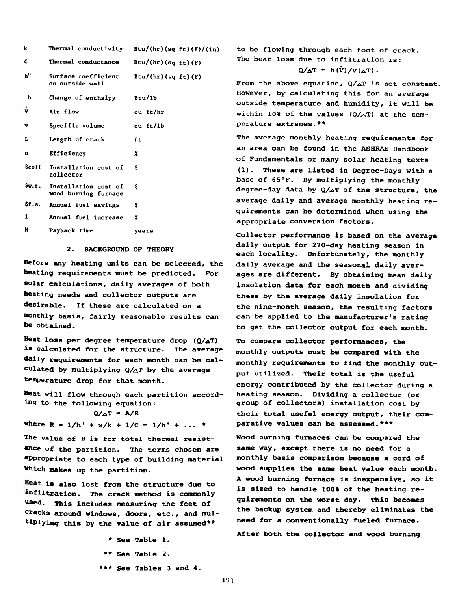| k     | Thermal conductivity                         | Btu/(hr)(sq ft)(f)/(in) |
|-------|----------------------------------------------|-------------------------|
| C     | Thermal conductance                          | Btu/(hr)(sq ft)(F)      |
| h"    | Surface coefficient<br>on outside wall       | Btu/(hr)(sa ft)(F)      |
| h     | Change of enthalpy                           | Btu/1b                  |
| V     | Air flow                                     | cu ft/hr                |
| v     | Specific volume                              | cu ft/lb                |
| L     | Length of crack                              | ft                      |
| n     | <b>Efficiency</b>                            | z                       |
| Scol1 | Installation cost of<br>collector            | \$                      |
| Sw.f. | Installation cost of<br>wood burning furnace | Ś                       |
|       | \$f.s. Annual fuel savings                   | S                       |
| 1     | Annual fuel increase                         | z                       |
| N     | Payback time                                 | years                   |

## 2. BACKGROUND OF THEORY

**Before any heating units can be selected, the heating requirements must be predicted. For solar calculations, daily averages of both heating needs and collector outputs are desirable. If these are calculated on a monthly basis, fairly reasonable results can be obtained.**

**Heat loss per degree temperature drop (Q/aT) is calculated for the structure. The average daily requirements for each month can be calculated by multiplying Q/a T by the average temperature drop for that month.**

**Heat will flow through each partition according to the following equation:**

 $Q/\Delta T = A/R$ **where R =**  $1/h' + x/k + 1/C = 1/h'' + ...$  **\*** 

**The value of R is for total thermal resist- \*nce of the partition. The terms chosen are Appropriate to each type of building material which makes up the partition.**

**is also lost from the structure due to** infiltration. The crack method is commonly **used. This includes measuring the feet of cracks around windows, doors, etc., and multiplying this by the value of air assumed\*\***

> **\* See Table 1. \*\* See Table 2. \*\*\* See Tables 3 and 4.**

**to be flowing through each foot of crack. The heat loss due to infiltration is:**

$$
Q/\Delta T = h(\dot{V})/v(\Delta T).
$$

From the above equation,  $Q/\Delta T$  is not constant. **However, by calculating this for an average outside temperature and humidity, it will be within 10% of the values**  $(Q/\Delta T)$  **at the temperature extremes.\*\***

**The average monthly heating requirements for an area can be found in the ASHRAE Handbook of Fundamentals or many solar heating texts (1). These are listed in Degree-Days with a base of 65°F. By multiplying the monthly degree-day data by Q/a T of the structure, the average daily and average monthly heating requirements can be determined when using the appropriate conversion factors.**

**Collector performance is based on the average daily output for 270-day heating season in each locality. Unfortunately, the monthly daily average and the seasonal daily averages are different. By obtaining mean daily insolation data for each month and dividing these by the average daily insolation for the nine-month season, the resulting factors can be applied to the manufacturer's rating to get the collector output for each month.**

**To compare collector performances, the monthly outputs must be compared with the monthly requirements to find the monthly output utilized. Their total is the useful energy contributed by the collector during a heating season. Dividing a collector (or group of collectors) installation cost by their total useful energy output, their comparative values can be assessed.\*\*\***

**Wood burning furnaces can be compared the same way, except there is no need for a monthly basis comparison because a cord of wood supplies the same heat value each month. A wood burning furnace is inexpensive, so it is sized to handle 100% of the heating requirements on the worst day. This becomes the backup system and thereby eliminates the need for a conventionally fueled furnace.**

**After both the collector and wood burning**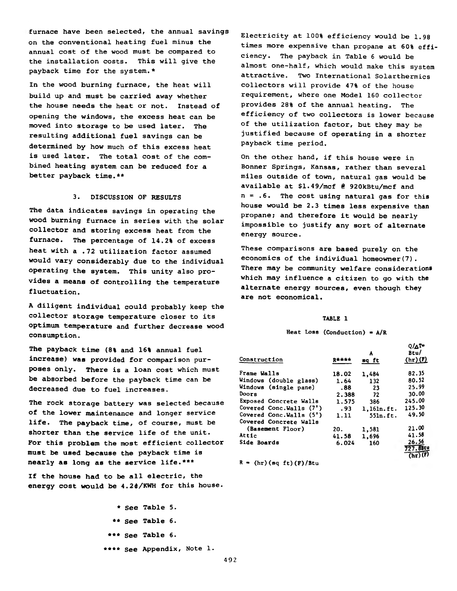**furnace have been selected, the annual savings on the conventional heating fuel minus the annual cost of the wood must be compared to the installation costs. This will give the payback time for the system.\***

**In the wood burning furnace, the heat will build up and must be carried away whether the house needs the heat or not. Instead of opening the windows, the excess heat can be moved into storage to be used later. The resulting additional fuel savings can be determined by how much of this excess heat is used later. The total cost of the combined heating system can be reduced for a better payback time.\*\***

## **3. DISCUSSION OF RESULTS**

**The data indicates savings in operating the wood burning furnace in series with the solar collector and storing excess heat from the furnace. The percentage of 14.2% of excess heat with a .72 utilization factor assumed would vary considerably due to the individual operating the system. This unity also provides a means of controlling the temperature fluctuation.**

**A diligent individual could probably keep the collector storage temperature closer to its optimum temperature and further decrease wood consumption.**

**The payback time (8% and 16% annual fuel increase) was provided for comparison purposes only. There is a loan cost which must be absorbed before the payback time can be decreased due to fuel increases.**

**The rock storage battery was selected because of the lower maintenance and longer service life. The payback time, of course, must be shorter than the service life of the unit. For this problem the most efficient collector must be used because the payback time is nearly as long as the service life.\*\*\***

**If the house had to be all electric, the energy cost would be 4.24/KWH for this house.**

> **\* See Table 5. \*\* See Table 6. \*\*\* See Table 6. \*\*\*\* See Appendix, Note 1.**

**Electricity at 100% efficiency would be 1.98 times more expensive than propane at 60% efficiency. The payback in Table 6 would be almost one-half, which would make this system attractive. Two International Solarthermics collectors will provide 47% of the house requirement, where one Model 160 collector provides 28% of the annual heating. The efficiency of two collectors is lower because of the utilization factor, but they may be justified because of operating in a shorter payback time period.**

**On the other hand, if this house were in Bonner Springs, Kansas, rather than several miles outside of town, natural gas would be available at \$1.49/mcf 8 920kBtu/mcf and n = .6. The cost using natural gas for this house would be 2.3 times less expensive than propane; and therefore it would be nearly impossible to justify any sort of alternate energy source.**

**These comparisons are based purely on the economics of the individual homeowner(7). There may be community welfare considerations which may influence a citizen to go with the alternate energy sources, even though they are not economical.**

## **TABLE I**

**Heat Loss (Conduction) • A/R**

| Construction            | 贝索大大大 | A<br>sq ft | $Q/\Delta T$<br>Btu/<br>$(hr)$ (P) |
|-------------------------|-------|------------|------------------------------------|
| Frame Walls             | 18.02 | 1,484      | 82.35                              |
| Windows (double glass)  | 1.64  | 132        | 80.52                              |
| Windows (single pane)   | .88   | 23         | 25.99                              |
| Doors                   | 2.388 | 72         | 30.00                              |
| Exposed Concrete Walls  | 1.575 | 386        | 245.00                             |
| Covered Conc.Walls (7') | .93   | 1.161n.ft. | 125.30                             |
| Covered Conc.Walls (5') | 1.11  | 55ln.ft.   | 49.50                              |
| Covered Concrete Walls  |       |            |                                    |
| (Basement Floor)        | 20.   | 1,581      | 21.00                              |
| Attic                   | 41.58 | 1,696      | 41.58                              |
| Side Boards             | 6.024 | 160        | 26.56                              |
|                         |       |            | 727.8Btu                           |
|                         |       |            |                                    |

**R - (hr)(sq ft)(F)/Btu**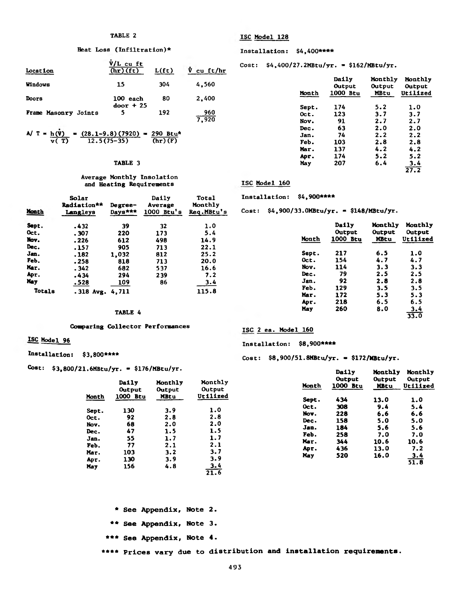## **Heat Los8 (Infiltration)\* Installation: \$4,400\*\*\*\***

| Location             | $V/L$ cu ft<br>(hr)(ft) | L(f <sub>t</sub> ) | $\overline{V}$ cu ft/hr   | Cost: $$4,400/27.2MBtu/yr. = $162/MBtu/yr.$ |                 |                        |            |
|----------------------|-------------------------|--------------------|---------------------------|---------------------------------------------|-----------------|------------------------|------------|
| Windows              | 15                      | 304                | 4.560                     |                                             | Daily<br>Output | Monthly Mont<br>Output | Outp       |
| Doors                | 100 each                | 80                 | 2,400                     | Month                                       | 1000 Btu        | MBtu                   | Utili      |
| Frame Masonry Joints | $door + 25$             | 192                | 960<br>$\overline{z}$ and | Sept.<br>Oct.                               | 174<br>123      | 5.2<br>3.7             | 1.0<br>3.7 |

$$
A/\ T = \frac{h(\bar{V})}{v(T)} = \frac{(28.1 - 9.8)(7920)}{12.5(75-35)} = \frac{290 \text{ Btu}^*}{(hr)(F)}
$$
 3an. 74 2.2 2.2 2.3  
Jen. 74 2.2 2.3

## **Average Monthly Insolation and Heating Requirements ISC Model 160**

# **Solar Daily Total Installation: \$4,900\*\*\*\***

| Month      | Radiation**<br>Langleys | Degree-<br>Days*** | Average<br>$1000$ Btu's | Monthly<br>Req.MBtu's | Cost: |       | $$4,900/33.0$ MBtu/yr. = \$148/MBtu/yr. |             |          |
|------------|-------------------------|--------------------|-------------------------|-----------------------|-------|-------|-----------------------------------------|-------------|----------|
| Sept.      | .432                    | 39                 | 32                      | 1.0                   |       |       | Daily                                   | Monthly     | Monthly  |
| Oct.       | .307                    | 220                | 173                     | 5.4                   |       |       | Output                                  | Output      | Output   |
| Nov.       | .226                    | 612                | 498                     | 14.9                  |       | Month | 1000 Btu                                | <b>MBtu</b> | Utilized |
| Dec.       | .157                    | 905                | 713                     | 22.1                  |       |       |                                         |             |          |
| Jan.       | .182                    | 1.032              | 812                     | 25.2                  |       | Sept. | 217                                     | 6.5         | 1.0      |
| Feb.       | .258                    | 818                | 713                     | 20.0                  |       | Oct.  | 154                                     | 4.7         | 4.7      |
| Mar.       | .342                    | 682                | 537                     | 16.6                  |       | Nov.  | 114                                     | 3.3         | 3.3      |
| Apr.       | .434                    | 294                | 239                     | 7.2                   |       | Dec.  | 79                                      | 2.5         | 2.5      |
| <b>May</b> | .528                    | <u> 109</u>        | 86                      | 3.4                   |       | Jan.  | 92                                      | 2.8         | 2.8      |
| Totals     | $.318$ Avg. 4, 711      |                    |                         | 115.8                 |       | Feb.  | 129                                     | 3.5         | 3.5      |
|            |                         |                    |                         |                       |       | Maw   | 1.72                                    | <b>C</b> 2  | $\sim$ 2 |

## **Comparing Collector Performances ISC 2 ea. Model 160**

**Cost: \$3,800/21.6MBtu/yr. - \$176/MBtu/yr. Daily Monthly Monthly**

|                 | 15                             | 304     | 4,560 |       | Daily<br>Output | Monthly<br><b>Output</b> | Monthly<br>Output  |
|-----------------|--------------------------------|---------|-------|-------|-----------------|--------------------------|--------------------|
|                 | 100 each                       | 80      | 2,400 | Month | 1000 Btu        | MBtu                     | Utilized           |
|                 | $door + 25$                    | 192     | 960   | Sept. | 174             | 5.2                      | 1.0                |
| asonry Joints   | 5                              |         | 7,920 | Oct.  | 123             | 3.7                      | 3.7                |
|                 |                                |         |       | Nov.  | 91              | 2.7                      | 2.7                |
|                 |                                |         |       | Dec.  | 63              | 2.0                      | 2.0                |
| h (Ÿ)<br>v ( T) | $=(28.1-9.8)(7920) = 290$ Btu* |         |       | Jan.  | 74              | 2.2                      | 2.2                |
|                 | $12.5(75-35)$                  | (hr)(F) |       | Feb.  | 103             | 2.8                      | 2.8                |
|                 |                                |         |       | Mar.  | 137             | 4.2                      | 4.2                |
|                 |                                |         |       | Apr.  | 174             | 5.2                      | 5.2                |
|                 | TABLE 3                        |         |       | May   | 207             | 6.4                      | $\frac{3.4}{27.2}$ |
|                 |                                |         |       |       |                 |                          |                    |

| 39      | 32  | 1.0   |       | Daily<br>Output | Monthly<br>Output | Monthly<br>Output  |
|---------|-----|-------|-------|-----------------|-------------------|--------------------|
| 220     | 173 | 5.4   | Month | 1000 Btu        | <b>MBtu</b>       | Utilized           |
| 612     | 498 | 14.9  |       |                 |                   |                    |
| 905     | 713 | 22.1  |       |                 |                   |                    |
| ,032    | 812 | 25.2  | Sept. | 217             | 6.5               | 1.0                |
| 818     | 713 | 20.0  | Oct.  | 154             | 4.7               | 4.7                |
| 682     | 537 | 16.6  | Nov.  | 114             | 3.3               | 3.3                |
| 294     | 239 | 7.2   | Dec.  | 79              | 2.5               | 2.5                |
| 109     | 86  | 3.4   | Jan.  | 92              | 2.8               | 2.8                |
|         |     |       | Feb.  | 129             | 3.5               | 3.5                |
| ,711    |     | 115.8 | Mar.  | 172             | 5.3               | 5.3                |
|         |     |       | Apr.  | 218             | 6.5               | 6.5                |
|         |     |       | May   | 260             | 8.0               |                    |
| TABLE 4 |     |       |       |                 |                   | $\frac{3.4}{33.0}$ |

## **ISC Model 96 Installation: \$8,900\*\*\*\***

**Installation: \$3,800\*\*\*\* Cost: \$8,900/51.8MBtu/yr. « \$172/MBtu/yr.**

|                                                               | Daily<br>Output                                 | Monthly<br>Output                                    | Monthly<br>Output                                    | Month                                                       | Output<br>1000 Btu                                   | Output<br><b>MBtu</b>                                   | Output<br>Utilized                                            |
|---------------------------------------------------------------|-------------------------------------------------|------------------------------------------------------|------------------------------------------------------|-------------------------------------------------------------|------------------------------------------------------|---------------------------------------------------------|---------------------------------------------------------------|
| Month                                                         | 1000 Btu                                        | <b>MBtu</b>                                          | Utilized                                             | Sept.                                                       | 434                                                  | 13.0                                                    | 1.0                                                           |
| Sept.<br>Oct.<br>Nov.<br>Dec.<br>Jan.<br>Feb.<br>Mar.<br>Apr. | 130<br>92<br>68<br>47<br>55<br>77<br>103<br>130 | 3.9<br>2.8<br>2.0<br>1.5<br>1.7<br>2.1<br>3.2<br>3.9 | 1.0<br>2.8<br>2.0<br>1.5<br>1.7<br>2.1<br>3.7<br>3.9 | Oct.<br>Nov.<br>Dec.<br>Jan.<br>Feb.<br>Mar.<br>Apr.<br>May | 308<br>228<br>158<br>184<br>258<br>344<br>436<br>520 | 9.4<br>6.6<br>5.0<br>5.6<br>7.0<br>10.6<br>13.0<br>16.0 | 5.4<br>6.6<br>5.0<br>5.6<br>7.0<br>10.6<br>7.2<br>3.4<br>51.8 |
| May                                                           | 156                                             | 4.8                                                  | $\frac{3.4}{21.6}$                                   |                                                             |                                                      |                                                         |                                                               |

- \* See Appendix, Note 2.
- \*\* See Appendix, Note 3.
- \*\*\* See Appendix, Note 4.

\*\*\*\* Prices vary due to distribution and installation requirements.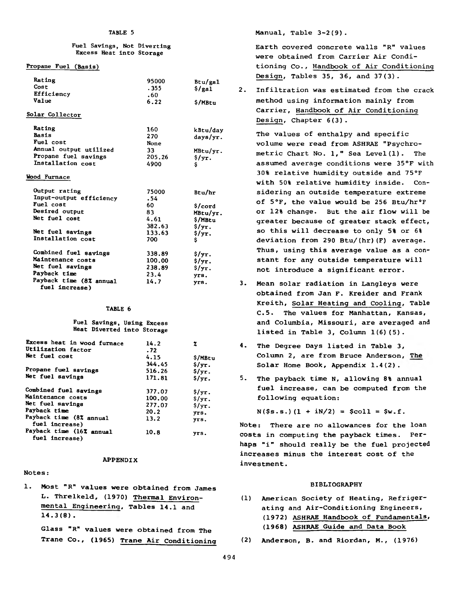### **Fuel Savings, Not Diverting Excess Heat into Storage**

## **Propane Fuel (Basis)**

**fuel Increase)**

| Rating                  | 95000  | Btu/ga1            |
|-------------------------|--------|--------------------|
| Cost                    | . 355  | $\frac{\S}{\S}$    |
| Efficiency              | .60    |                    |
| Value                   | 6.22   | \$/MBtu            |
| Solar Collector         |        |                    |
| Rating                  | 160    | kBtu/day           |
| <b>Basis</b>            | 270    | days/yr.           |
| Fuel cost               | None   |                    |
| Annual output utilized  | 33.    | MBtu/yr.           |
| Propane fuel savings    | 205.26 | $\frac{2}{7}$      |
| Installation cost       | 4900   | \$                 |
| Wood Furnace            |        |                    |
| Output rating           | 75000  | Btu/hr             |
| Input-output efficiency | .54    |                    |
| Fuel cost               | 60.    | \$/cord            |
| <b>Desired output</b>   | 83     | MBtu/yr.           |
| Net fuel cost           | 4.61   | \$/MBtu            |
|                         | 382.63 | $\frac{2}{3}$ /yr. |
| Net fuel savings        | 133.63 | $\frac{2}{3}$ /yr. |
| Installation cost       | 700    | \$                 |
| Combined fuel savings   | 338.89 | s/yr.              |
| Maintenance costs       | 100.00 | $s/\text{yr}$ .    |
| Net fuel savings        | 238.89 | $s/\text{yr}$ .    |
| Payback time            |        |                    |
| Payback time (8% annual | 23.4   | yrs.               |

## **TABLE 6**

### **Fuel Savings, Using Excess Heat Diverted into Storage**

| 14.2   | z                                  |
|--------|------------------------------------|
| .72    |                                    |
| 4.15   | \$/MBtu                            |
| 344.45 | $\frac{1}{2}$ /yr.                 |
| 516.26 | $s/\text{yr}$ .                    |
| 171.81 | $s/\text{yr}$ .                    |
|        | S/yr.                              |
|        | $s/\text{yr}$ .                    |
|        | $s/\text{yr}$ .                    |
|        | yrs.                               |
| 13.2   | yrs.                               |
| 10.8   | yrs.                               |
|        | 377.07<br>100.00<br>277.07<br>20.2 |

## **APPENDIX**

## **Notes:**

**1• Most "R" values were obtained from James L. Threlkeld, (1970) Thermal Environmental Engineering, Tables 14.1 and 14.3(8) .**

**(1968) ASHRAE Guide and Data Book Glass "R" values were obtained from The Trane Co., (1965) Trane Air Conditioning**

**Manual, Table 3-2(9).**

**Earth covered concrete walls "R" values were obtained from Carrier Air Conditioning Co., Handbook of Air Conditioning Design, Tables 35, 36, and 37(3).**

**2. Infiltration was estimated from the crack method using information mainly from Carrier, Handbook of Air Conditioning Design, Chapter 6(3).**

**The values of enthalpy and specific volume were read from ASHRAE "Psychrometric Chart No. 1," Sea Level(l). The assumed average conditions were 35°F with 30% relative humidity outside and 75°F with 50% relative humidity inside. Considering an outside temperature extreme of 5°F, the value would be 256 Btu/hr°F or 12% change. But the air flow will be greater because of greater stack effect, so this will decrease to only 5% or 6% deviation from 290 Btu/(hr)(F) average. Thus, using this average value as a constant for any outside temperature will not introduce a significant error.**

- **3. Mean solar radiation in Langleys were obtained from Jan F. Kreider and Frank Kreith, Solar Heating and Cooling, Table C.5. The values for Manhattan, Kansas, and Columbia, Missouri, are averaged and listed in Table 3, Column 1(6)(5).**
- **4. The Degree Days listed in Table 3, Column 2, are from Bruce Anderson, The Solar Home Book, Appendix 1.4(2).**
- **5. The payback time N, allowing 8% annual fuel increase, can be computed from the following equation:**

 $N(Ss.s.)$   $(1 + iN/2) =$   $Scoll = Sw.f.$ 

**Note: There are no allowances for the loan costs in computing the payback times. Perhaps "i" should really be the fuel projected increases minus the interest cost of the investment.**

## **BIBLIOGRAPHY**

- **(1) American Society of Heating, Refrigerating and Air-Conditioning Engineers, (1972) ASHRAE Handbook of Fundamentals,**
- ( 2 ) **Anderson, B. and Riordan, M., (1976)**